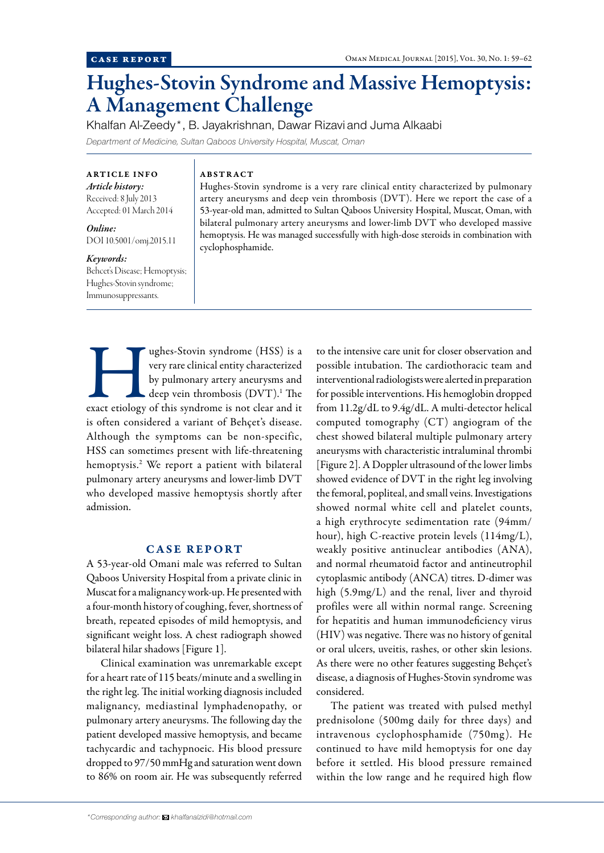# Hughes-Stovin Syndrome and Massive Hemoptysis: A Management Challenge

Khalfan Al-Zeedy\*, B. Jayakrishnan, Dawar Rizavi and Juma Alkaabi *Department of Medicine, Sultan Qaboos University Hospital, Muscat, Oman*

ARTICLE INFO *Article history:*  Received: 8 July 2013 Accepted: 01 March 2014

*Online:* DOI 10.5001/omj.2015.11

### *Keywords:*

Behcet's Disease; Hemoptysis; Hughes-Stovin syndrome; Immunosuppressants.

## ABSTRACT

Hughes-Stovin syndrome is a very rare clinical entity characterized by pulmonary artery aneurysms and deep vein thrombosis (DVT). Here we report the case of a 53-year-old man, admitted to Sultan Qaboos University Hospital, Muscat, Oman, with bilateral pulmonary artery aneurysms and lower-limb DVT who developed massive hemoptysis. He was managed successfully with high-dose steroids in combination with cyclophosphamide.

**Example 18 Example 18 Stovin syndrome (HSS)** is a very rare clinical entity characterized by pulmonary artery aneurysms and deep vein thrombosis (DVT).<sup>1</sup> The exact etiology of this syndrome is not clear and it very rare clinical entity characterized by pulmonary artery aneurysms and deep vein thrombosis (DVT).<sup>1</sup> The is often considered a variant of Behçet's disease. Although the symptoms can be non-specific, HSS can sometimes present with life-threatening hemoptysis.2 We report a patient with bilateral pulmonary artery aneurysms and lower-limb DVT who developed massive hemoptysis shortly after admission.

# CASE REPORT

A 53-year-old Omani male was referred to Sultan Qaboos University Hospital from a private clinic in Muscat for a malignancy work-up. He presented with a four-month history of coughing, fever, shortness of breath, repeated episodes of mild hemoptysis, and significant weight loss. A chest radiograph showed bilateral hilar shadows [Figure 1].

Clinical examination was unremarkable except for a heart rate of 115 beats/minute and a swelling in the right leg. The initial working diagnosis included malignancy, mediastinal lymphadenopathy, or pulmonary artery aneurysms. The following day the patient developed massive hemoptysis, and became tachycardic and tachypnoeic. His blood pressure dropped to 97/50 mmHg and saturation went down to 86% on room air. He was subsequently referred

to the intensive care unit for closer observation and possible intubation. The cardiothoracic team and interventional radiologists were alerted in preparation for possible interventions. His hemoglobin dropped from 11.2g/dL to 9.4g/dL. A multi-detector helical computed tomography (CT) angiogram of the chest showed bilateral multiple pulmonary artery aneurysms with characteristic intraluminal thrombi [Figure 2]. A Doppler ultrasound of the lower limbs showed evidence of DVT in the right leg involving the femoral, popliteal, and small veins. Investigations showed normal white cell and platelet counts, a high erythrocyte sedimentation rate (94mm/ hour), high C-reactive protein levels (114mg/L), weakly positive antinuclear antibodies (ANA), and normal rheumatoid factor and antineutrophil cytoplasmic antibody (ANCA) titres. D-dimer was high (5.9mg/L) and the renal, liver and thyroid profiles were all within normal range. Screening for hepatitis and human immunodeficiency virus (HIV) was negative. There was no history of genital or oral ulcers, uveitis, rashes, or other skin lesions. As there were no other features suggesting Behçet's disease, a diagnosis of Hughes-Stovin syndrome was considered.

The patient was treated with pulsed methyl prednisolone (500mg daily for three days) and intravenous cyclophosphamide (750mg). He continued to have mild hemoptysis for one day before it settled. His blood pressure remained within the low range and he required high flow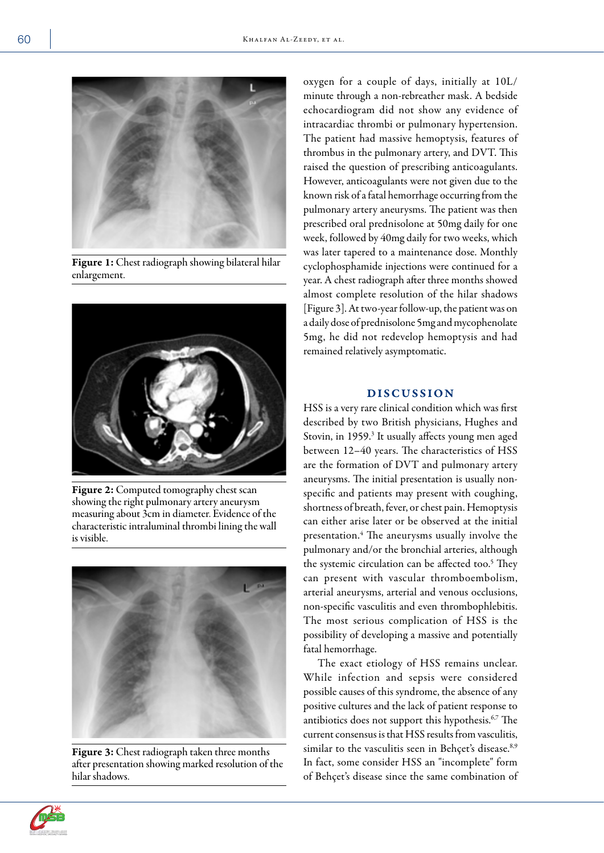

Figure 1: Chest radiograph showing bilateral hilar enlargement.



Figure 2: Computed tomography chest scan showing the right pulmonary artery aneurysm measuring about 3cm in diameter. Evidence of the characteristic intraluminal thrombi lining the wall is visible.



Figure 3: Chest radiograph taken three months after presentation showing marked resolution of the hilar shadows.

oxygen for a couple of days, initially at 10L/ minute through a non-rebreather mask. A bedside echocardiogram did not show any evidence of intracardiac thrombi or pulmonary hypertension. The patient had massive hemoptysis, features of thrombus in the pulmonary artery, and DVT. This raised the question of prescribing anticoagulants. However, anticoagulants were not given due to the known risk of a fatal hemorrhage occurring from the pulmonary artery aneurysms. The patient was then prescribed oral prednisolone at 50mg daily for one week, followed by 40mg daily for two weeks, which was later tapered to a maintenance dose. Monthly cyclophosphamide injections were continued for a year. A chest radiograph after three months showed almost complete resolution of the hilar shadows [Figure 3]. At two-year follow-up, the patient was on a daily dose of prednisolone 5mg and mycophenolate 5mg, he did not redevelop hemoptysis and had remained relatively asymptomatic.

# DISCUSSION

HSS is a very rare clinical condition which was first described by two British physicians, Hughes and Stovin, in 1959.<sup>3</sup> It usually affects young men aged between 12–40 years. The characteristics of HSS are the formation of DVT and pulmonary artery aneurysms. The initial presentation is usually nonspecific and patients may present with coughing, shortness of breath, fever, or chest pain. Hemoptysis can either arise later or be observed at the initial presentation.4 The aneurysms usually involve the pulmonary and/or the bronchial arteries, although the systemic circulation can be affected too.<sup>5</sup> They can present with vascular thromboembolism, arterial aneurysms, arterial and venous occlusions, non-specific vasculitis and even thrombophlebitis. The most serious complication of HSS is the possibility of developing a massive and potentially fatal hemorrhage.

The exact etiology of HSS remains unclear. While infection and sepsis were considered possible causes of this syndrome, the absence of any positive cultures and the lack of patient response to antibiotics does not support this hypothesis.<sup>6,7</sup> The current consensus is that HSS results from vasculitis, similar to the vasculitis seen in Behçet's disease.<sup>8,9</sup> In fact, some consider HSS an "incomplete" form of Behçet's disease since the same combination of

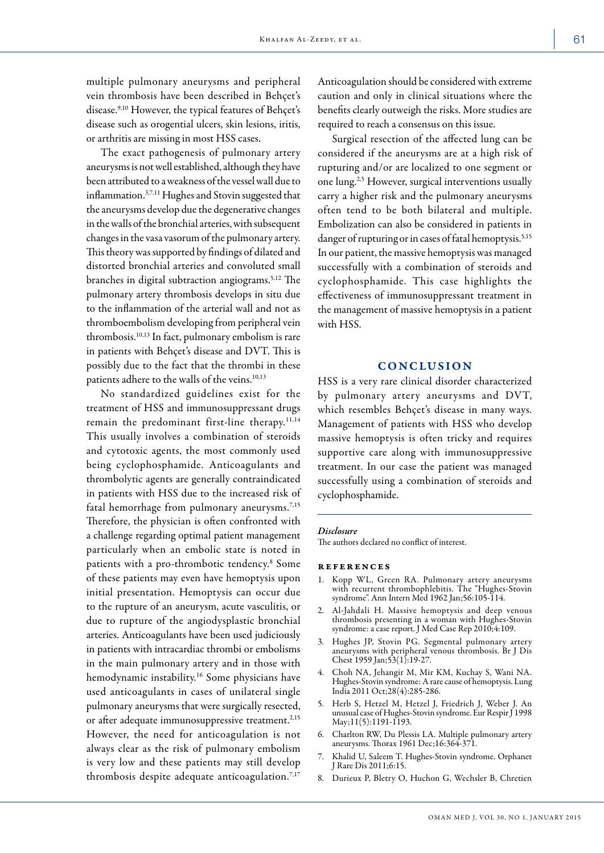multiple pulmonary aneurysms and peripheral vein thrombosis have been described in Behçet's disease.<sup>9,10</sup> However, the typical features of Behçet's disease such as orogential ulcers, skin lesions, iritis, or arthritis are missing in most HSS cases.

The exact pathogenesis of pulmonary artery aneurysms is not well established, although they have been attributed to a weakness of the vessel wall due to inflammation.3,7,11 Hughes and Stovin suggested that the aneurysms develop due the degenerative changes in the walls of the bronchial arteries, with subsequent changes in the vasa vasorum of the pulmonary artery. This theory was supported by findings of dilated and distorted bronchial arteries and convoluted small branches in digital subtraction angiograms.5,12 The pulmonary artery thrombosis develops in situ due to the inflammation of the arterial wall and not as thromboembolism developing from peripheral vein thrombosis.10,13 In fact, pulmonary embolism is rare in patients with Behçet's disease and DVT. This is possibly due to the fact that the thrombi in these patients adhere to the walls of the veins.<sup>10,13</sup>

No standardized guidelines exist for the treatment of HSS and immunosuppressant drugs remain the predominant first-line therapy.<sup>11,14</sup> This usually involves a combination of steroids and cytotoxic agents, the most commonly used being cyclophosphamide. Anticoagulants and thrombolytic agents are generally contraindicated in patients with HSS due to the increased risk of fatal hemorrhage from pulmonary aneurysms.<sup>7,15</sup> Therefore, the physician is often confronted with a challenge regarding optimal patient management particularly when an embolic state is noted in patients with a pro-thrombotic tendency.8 Some of these patients may even have hemoptysis upon initial presentation. Hemoptysis can occur due to the rupture of an aneurysm, acute vasculitis, or due to rupture of the angiodysplastic bronchial arteries. Anticoagulants have been used judiciously in patients with intracardiac thrombi or embolisms in the main pulmonary artery and in those with hemodynamic instability.16 Some physicians have used anticoagulants in cases of unilateral single pulmonary aneurysms that were surgically resected, or after adequate immunosuppressive treatment.<sup>2,15</sup> However, the need for anticoagulation is not always clear as the risk of pulmonary embolism is very low and these patients may still develop thrombosis despite adequate anticoagulation.<sup>7,17</sup>

Anticoagulation should be considered with extreme caution and only in clinical situations where the benefits clearly outweigh the risks. More studies are required to reach a consensus on this issue.

Surgical resection of the affected lung can be considered if the aneurysms are at a high risk of rupturing and/or are localized to one segment or one lung.2,5 However, surgical interventions usually carry a higher risk and the pulmonary aneurysms often tend to be both bilateral and multiple. Embolization can also be considered in patients in danger of rupturing or in cases of fatal hemoptysis.<sup>5,15</sup> In our patient, the massive hemoptysis was managed successfully with a combination of steroids and cyclophosphamide. This case highlights the effectiveness of immunosuppressant treatment in the management of massive hemoptysis in a patient with HSS.

### **CONCLUSION**

HSS is a very rare clinical disorder characterized by pulmonary artery aneurysms and DVT, which resembles Behçet's disease in many ways. Management of patients with HSS who develop massive hemoptysis is often tricky and requires supportive care along with immunosuppressive treatment. In our case the patient was managed successfully using a combination of steroids and cyclophosphamide.

#### *Disclosure*

The authors declared no conflict of interest.

#### references

- 1. Kopp WL, Green RA. Pulmonary artery aneurysms with recurrent thrombophlebitis. The "Hughes-Stovin syndrome". Ann Intern Med 1962 Jan;56:105-114.
- 2. Al-Jahdali H. Massive hemoptysis and deep venous thrombosis presenting in a woman with Hughes-Stovin syndrome: a case report. J Med Case Rep 2010;4:109.
- 3. Hughes JP, Stovin PG. Segmental pulmonary artery aneurysms with peripheral venous thrombosis. Br J Dis Chest 1959 Jan;53(1):19-27.
- 4. Choh NA, Jehangir M, Mir KM, Kuchay S, Wani NA. Hughes-Stovin syndrome: A rare cause of hemoptysis. Lung India 2011 Oct;28(4):285-286.
- 5. Herb S, Hetzel M, Hetzel J, Friedrich J, Weber J. An unusual case of Hughes-Stovin syndrome. Eur Respir J 1998 May;11(5):1191-1193.
- 6. Charlton RW, Du Plessis LA. Multiple pulmonary artery aneurysms. Thorax 1961 Dec;16:364-371.
- 7. Khalid U, Saleem T. Hughes-Stovin syndrome. Orphanet J Rare Dis 2011;6:15.
- 8. Durieux P, Bletry O, Huchon G, Wechsler B, Chretien